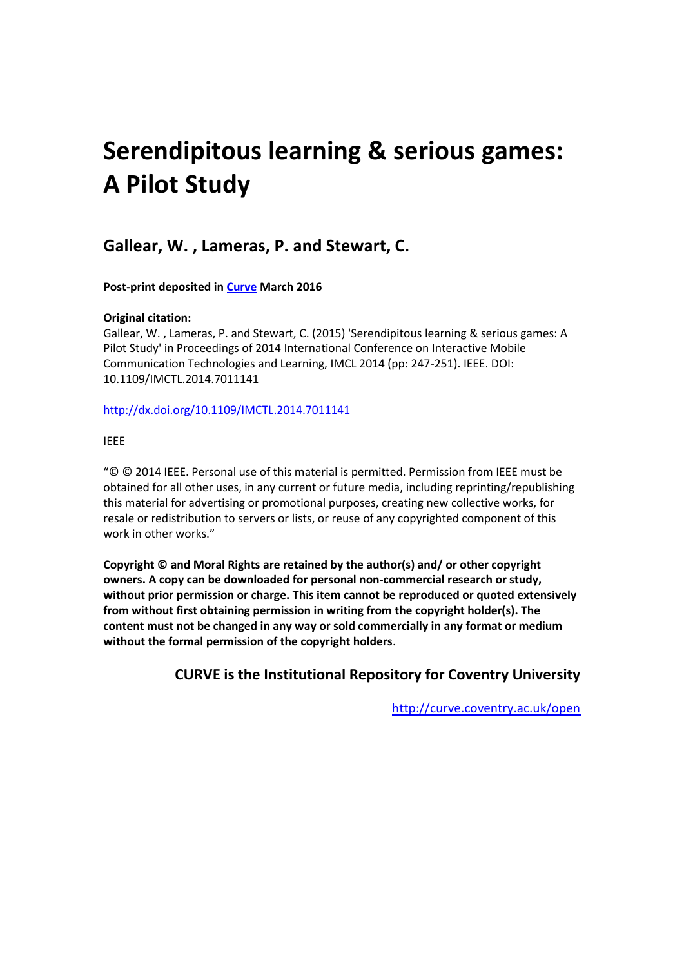# **Serendipitous learning & serious games: A Pilot Study**

## **Gallear, W. , Lameras, P. and Stewart, C.**

**Post-print deposited in [Curve](http://curve.coventry.ac.uk/open) March 2016**

## **Original citation:**

Gallear, W. , Lameras, P. and Stewart, C. (2015) 'Serendipitous learning & serious games: A Pilot Study' in Proceedings of 2014 International Conference on Interactive Mobile Communication Technologies and Learning, IMCL 2014 (pp: 247-251). IEEE. DOI: 10.1109/IMCTL.2014.7011141

## <http://dx.doi.org/10.1109/IMCTL.2014.7011141>

## IEEE

"© © 2014 IEEE. Personal use of this material is permitted. Permission from IEEE must be obtained for all other uses, in any current or future media, including reprinting/republishing this material for advertising or promotional purposes, creating new collective works, for resale or redistribution to servers or lists, or reuse of any copyrighted component of this work in other works."

**Copyright © and Moral Rights are retained by the author(s) and/ or other copyright owners. A copy can be downloaded for personal non-commercial research or study, without prior permission or charge. This item cannot be reproduced or quoted extensively from without first obtaining permission in writing from the copyright holder(s). The content must not be changed in any way or sold commercially in any format or medium without the formal permission of the copyright holders**.

## **CURVE is the Institutional Repository for Coventry University**

<http://curve.coventry.ac.uk/open>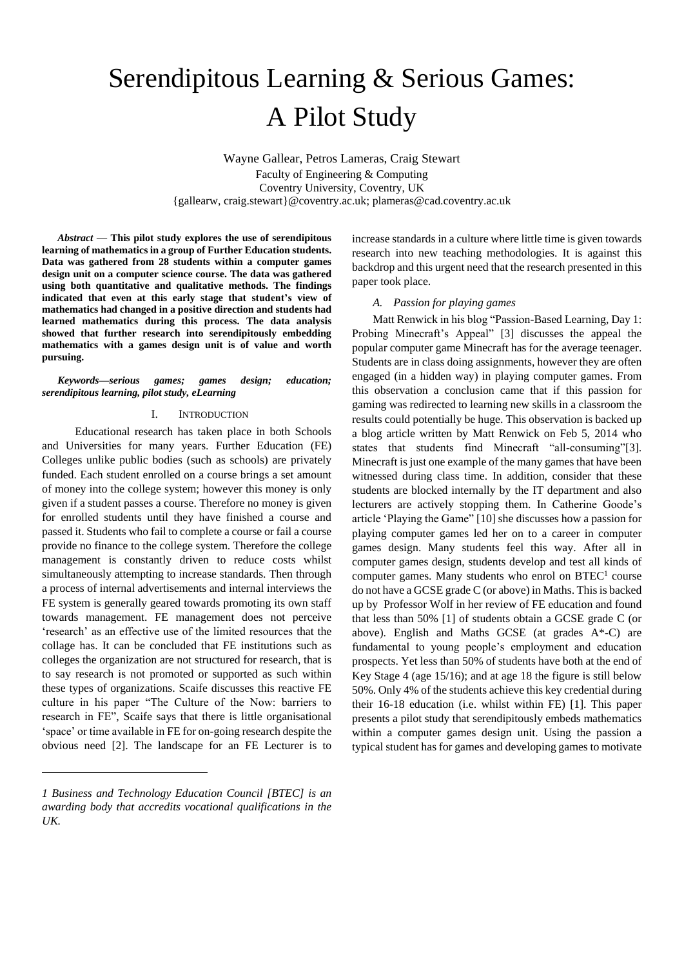# Serendipitous Learning & Serious Games: A Pilot Study

Wayne Gallear, Petros Lameras, Craig Stewart Faculty of Engineering & Computing Coventry University, Coventry, UK {gallearw, craig.stewart}@coventry.ac.uk; plameras@cad.coventry.ac.uk

*Abstract* **— This pilot study explores the use of serendipitous learning of mathematics in a group of Further Education students. Data was gathered from 28 students within a computer games design unit on a computer science course. The data was gathered using both quantitative and qualitative methods. The findings indicated that even at this early stage that student's view of mathematics had changed in a positive direction and students had learned mathematics during this process. The data analysis showed that further research into serendipitously embedding mathematics with a games design unit is of value and worth pursuing.** 

#### *Keywords—serious games; games design; education; serendipitous learning, pilot study, eLearning*

#### I. INTRODUCTION

Educational research has taken place in both Schools and Universities for many years. Further Education (FE) Colleges unlike public bodies (such as schools) are privately funded. Each student enrolled on a course brings a set amount of money into the college system; however this money is only given if a student passes a course. Therefore no money is given for enrolled students until they have finished a course and passed it. Students who fail to complete a course or fail a course provide no finance to the college system. Therefore the college management is constantly driven to reduce costs whilst simultaneously attempting to increase standards. Then through a process of internal advertisements and internal interviews the FE system is generally geared towards promoting its own staff towards management. FE management does not perceive 'research' as an effective use of the limited resources that the collage has. It can be concluded that FE institutions such as colleges the organization are not structured for research, that is to say research is not promoted or supported as such within these types of organizations. Scaife discusses this reactive FE culture in his paper "The Culture of the Now: barriers to research in FE", Scaife says that there is little organisational 'space' or time available in FE for on-going research despite the obvious need [2]. The landscape for an FE Lecturer is to

l

increase standards in a culture where little time is given towards research into new teaching methodologies. It is against this backdrop and this urgent need that the research presented in this paper took place.

#### *A. Passion for playing games*

[Matt Renwick](http://readingbyexample.com/author/renwickme/) in his blog "Passion-Based Learning, Day 1: Probing Minecraft's Appeal" [3] discusses the appeal the popular computer game Minecraft has for the average teenager. Students are in class doing assignments, however they are often engaged (in a hidden way) in playing computer games. From this observation a conclusion came that if this passion for gaming was redirected to learning new skills in a classroom the results could potentially be huge. This observation is backed up a blog article written by [Matt Renwick](http://plpnetwork.com/author/mattrenwick/) on Feb 5, 2014 who states that students find Minecraft "all-consuming"[3]. Minecraft is just one example of the many games that have been witnessed during class time. In addition, consider that these students are blocked internally by the IT department and also lecturers are actively stopping them. In Catherine Goode's article 'Playing the Game" [10] she discusses how a passion for playing computer games led her on to a career in computer games design. Many students feel this way. After all in computer games design, students develop and test all kinds of computer games. Many students who enrol on  $BTEC<sup>1</sup>$  course do not have a GCSE grade C (or above) in Maths. This is backed up by Professor Wolf in her review of FE education and found that less than 50% [1] of students obtain a GCSE grade C (or above). English and Maths GCSE (at grades A\*-C) are fundamental to young people's employment and education prospects. Yet less than 50% of students have both at the end of Key Stage 4 (age 15/16); and at age 18 the figure is still below 50%. Only 4% of the students achieve this key credential during their 16-18 education (i.e. whilst within FE) [1]. This paper presents a pilot study that serendipitously embeds mathematics within a computer games design unit. Using the passion a typical student has for games and developing games to motivate

*<sup>1</sup> [Business and Technology Education Council \[](http://en.wikipedia.org/wiki/Business_and_Technology_Education_Council)BTEC] is an awarding body that accredits vocational qualifications in the UK.*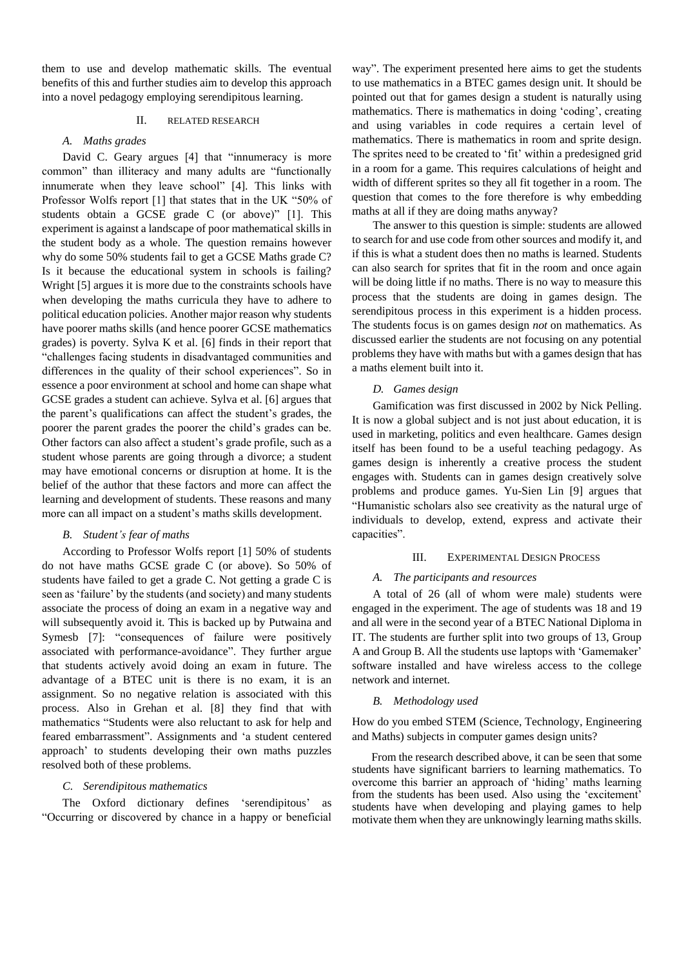them to use and develop mathematic skills. The eventual benefits of this and further studies aim to develop this approach into a novel pedagogy employing serendipitous learning.

## II. RELATED RESEARCH

#### *A. Maths grades*

David C. Geary argues [4] that "innumeracy is more common" than illiteracy and many adults are "functionally innumerate when they leave school" [4]. This links with Professor Wolfs report [1] that states that in the UK "50% of students obtain a GCSE grade C (or above)" [1]. This experiment is against a landscape of poor mathematical skills in the student body as a whole. The question remains however why do some 50% students fail to get a GCSE Maths grade C? Is it because the educational system in schools is failing? Wright [5] argues it is more due to the constraints schools have when developing the maths curricula they have to adhere to political education policies. Another major reason why students have poorer maths skills (and hence poorer GCSE mathematics grades) is poverty. Sylva K et al. [6] finds in their report that "challenges facing students in disadvantaged communities and differences in the quality of their school experiences". So in essence a poor environment at school and home can shape what GCSE grades a student can achieve. Sylva et al. [6] argues that the parent's qualifications can affect the student's grades, the poorer the parent grades the poorer the child's grades can be. Other factors can also affect a student's grade profile, such as a student whose parents are going through a divorce; a student may have emotional concerns or disruption at home. It is the belief of the author that these factors and more can affect the learning and development of students. These reasons and many more can all impact on a student's maths skills development.

#### *B. Student's fear of maths*

According to Professor Wolfs report [1] 50% of students do not have maths GCSE grade C (or above). So 50% of students have failed to get a grade C. Not getting a grade C is seen as 'failure' by the students (and society) and many students associate the process of doing an exam in a negative way and will subsequently avoid it. This is backed up by [Putwaina](http://www.sciencedirect.com/science/article/pii/S1041608010001640) [and](http://www.sciencedirect.com/science/article/pii/S1041608010001640) [Symes](http://www.sciencedirect.com/science/article/pii/S1041608010001640)[b](http://www.sciencedirect.com/science/article/pii/S1041608010001640#af0010) [7]: "consequences of failure were positively associated with performance-avoidance". They further argue that students actively avoid doing an exam in future. The advantage of a BTEC unit is there is no exam, it is an assignment. So no negative relation is associated with this process. Also in Grehan et al. [8] they find that with mathematics "Students were also reluctant to ask for help and feared embarrassment". Assignments and 'a student centered approach' to students developing their own maths puzzles resolved both of these problems.

## *C. Serendipitous mathematics*

The Oxford dictionary defines 'serendipitous' as "Occurring or discovered by chance in a happy or beneficial

way". The experiment presented here aims to get the students to use mathematics in a BTEC games design unit. It should be pointed out that for games design a student is naturally using mathematics. There is mathematics in doing 'coding', creating and using variables in code requires a certain level of mathematics. There is mathematics in room and sprite design. The sprites need to be created to 'fit' within a predesigned grid in a room for a game. This requires calculations of height and width of different sprites so they all fit together in a room. The question that comes to the fore therefore is why embedding maths at all if they are doing maths anyway?

The answer to this question is simple: students are allowed to search for and use code from other sources and modify it, and if this is what a student does then no maths is learned. Students can also search for sprites that fit in the room and once again will be doing little if no maths. There is no way to measure this process that the students are doing in games design. The serendipitous process in this experiment is a hidden process. The students focus is on games design *not* on mathematics. As discussed earlier the students are not focusing on any potential problems they have with maths but with a games design that has a maths element built into it.

#### *D. Games design*

Gamification was first discussed in 2002 by Nick Pelling. It is now a global subject and is not just about education, it is used in marketing, politics and even healthcare. Games design itself has been found to be a useful teaching pedagogy. As games design is inherently a creative process the student engages with. Students can in games design creatively solve problems and produce games. Yu-Sien Lin [9] argues that "Humanistic scholars also see creativity as the natural urge of individuals to develop, extend, express and activate their capacities".

#### III. EXPERIMENTAL DESIGN PROCESS

#### *A. The participants and resources*

A total of 26 (all of whom were male) students were engaged in the experiment. The age of students was 18 and 19 and all were in the second year of a BTEC National Diploma in IT. The students are further split into two groups of 13, Group A and Group B. All the students use laptops with 'Gamemaker' software installed and have wireless access to the college network and internet.

#### *B. Methodology used*

How do you embed STEM (Science, Technology, Engineering and Maths) subjects in computer games design units?

From the research described above, it can be seen that some students have significant barriers to learning mathematics. To overcome this barrier an approach of 'hiding' maths learning from the students has been used. Also using the 'excitement' students have when developing and playing games to help motivate them when they are unknowingly learning maths skills.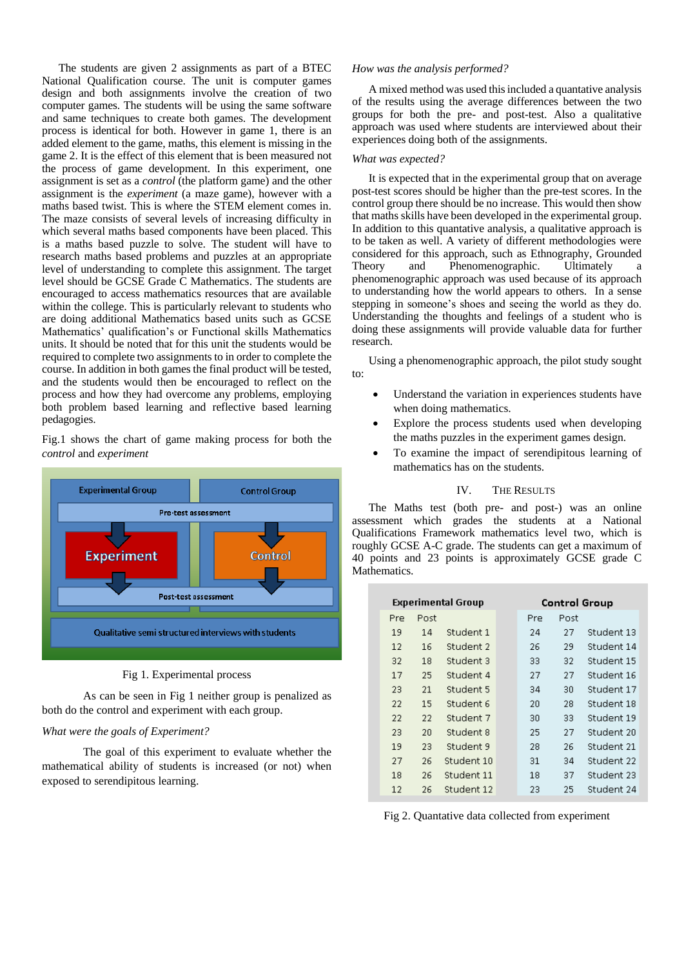The students are given 2 assignments as part of a BTEC National Qualification course. The unit is computer games design and both assignments involve the creation of two computer games. The students will be using the same software and same techniques to create both games. The development process is identical for both. However in game 1, there is an added element to the game, maths, this element is missing in the game 2. It is the effect of this element that is been measured not the process of game development. In this experiment, one assignment is set as a *control* (the platform game) and the other assignment is the *experiment* (a maze game), however with a maths based twist. This is where the STEM element comes in. The maze consists of several levels of increasing difficulty in which several maths based components have been placed. This is a maths based puzzle to solve. The student will have to research maths based problems and puzzles at an appropriate level of understanding to complete this assignment. The target level should be GCSE Grade C Mathematics. The students are encouraged to access mathematics resources that are available within the college. This is particularly relevant to students who are doing additional Mathematics based units such as GCSE Mathematics' qualification's or Functional skills Mathematics units. It should be noted that for this unit the students would be required to complete two assignments to in order to complete the course. In addition in both games the final product will be tested, and the students would then be encouraged to reflect on the process and how they had overcome any problems, employing both problem based learning and reflective based learning pedagogies.

Fig.1 shows the chart of game making process for both the *control* and *experiment*



### Fig 1. Experimental process

As can be seen in Fig 1 neither group is penalized as both do the control and experiment with each group.

#### *What were the goals of Experiment?*

The goal of this experiment to evaluate whether the mathematical ability of students is increased (or not) when exposed to serendipitous learning.

#### *How was the analysis performed?*

A mixed method was used this included a quantative analysis of the results using the average differences between the two groups for both the pre- and post-test. Also a qualitative approach was used where students are interviewed about their experiences doing both of the assignments.

#### *What was expected?*

It is expected that in the experimental group that on average post-test scores should be higher than the pre-test scores. In the control group there should be no increase. This would then show that maths skills have been developed in the experimental group. In addition to this quantative analysis, a qualitative approach is to be taken as well. A variety of different methodologies were considered for this approach, such as Ethnography, Grounded Theory and Phenomenographic. Ultimately a phenomenographic approach was used because of its approach to understanding how the world appears to others. In a sense stepping in someone's shoes and seeing the world as they do. Understanding the thoughts and feelings of a student who is doing these assignments will provide valuable data for further research.

Using a phenomenographic approach, the pilot study sought to:

- Understand the variation in experiences students have when doing mathematics.
- Explore the process students used when developing the maths puzzles in the experiment games design.
- To examine the impact of serendipitous learning of mathematics has on the students.

#### IV. THE RESULTS

The Maths test (both pre- and post-) was an online assessment which grades the students at a National Qualifications Framework mathematics level two, which is roughly GCSE A-C grade. The students can get a maximum of 40 points and 23 points is approximately GCSE grade C Mathematics.

| <b>Experimental Group</b> |      |            | <b>Control Group</b> |      |            |
|---------------------------|------|------------|----------------------|------|------------|
| Pre                       | Post |            | Pre                  | Post |            |
| 19                        | 14   | Student 1  | 24                   | 27   | Student 13 |
| 12                        | 16   | Student 2  | 26                   | 29   | Student 14 |
| 32                        | 18   | Student 3  | 33                   | 32   | Student 15 |
| 17                        | 25   | Student 4  | 27                   | 27   | Student 16 |
| 23                        | 21   | Student 5  | 34                   | 30   | Student 17 |
| 22                        | 15   | Student 6  | 20                   | 28   | Student 18 |
| 22                        | 22   | Student 7  | 30                   | 33   | Student 19 |
| 23                        | 20   | Student 8  | 25                   | 27   | Student 20 |
| 19                        | 23   | Student 9  | 28                   | 26   | Student 21 |
| 27                        | 26   | Student 10 | 31                   | 34   | Student 22 |
| 18                        | 26   | Student 11 | 18                   | 37   | Student 23 |
| 12                        | 26   | Student 12 | 23                   | 25   | Student 24 |

Fig 2. Quantative data collected from experiment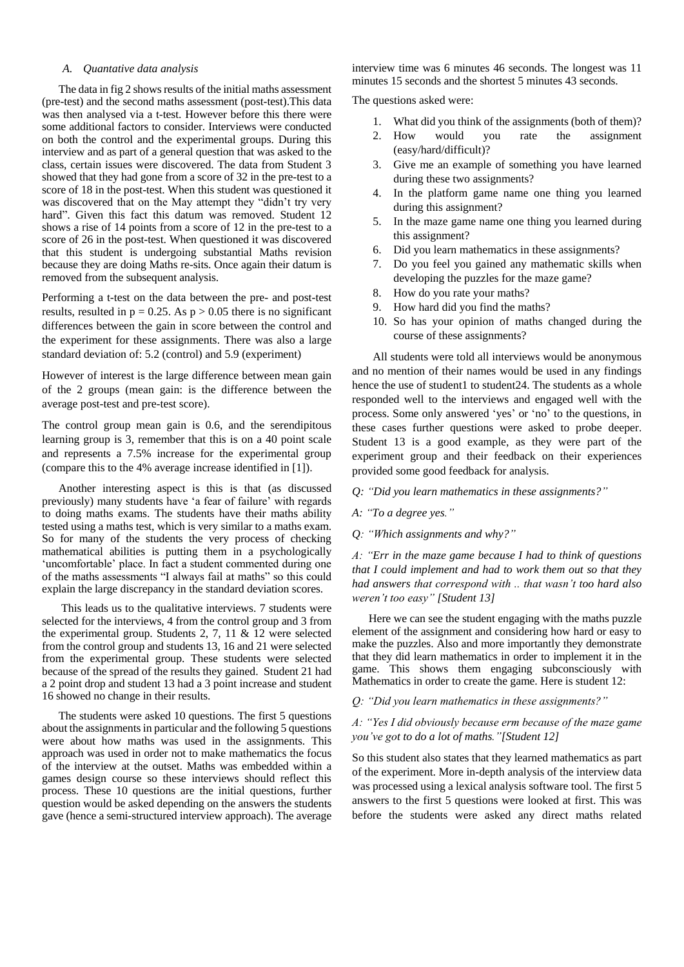#### *A. Quantative data analysis*

The data in fig 2 shows results of the initial maths assessment (pre-test) and the second maths assessment (post-test).This data was then analysed via a t-test. However before this there were some additional factors to consider. Interviews were conducted on both the control and the experimental groups. During this interview and as part of a general question that was asked to the class, certain issues were discovered. The data from Student 3 showed that they had gone from a score of 32 in the pre-test to a score of 18 in the post-test. When this student was questioned it was discovered that on the May attempt they "didn't try very hard". Given this fact this datum was removed. Student 12 shows a rise of 14 points from a score of 12 in the pre-test to a score of 26 in the post-test. When questioned it was discovered that this student is undergoing substantial Maths revision because they are doing Maths re-sits. Once again their datum is removed from the subsequent analysis.

Performing a t-test on the data between the pre- and post-test results, resulted in  $p = 0.25$ . As  $p > 0.05$  there is no significant differences between the gain in score between the control and the experiment for these assignments. There was also a large standard deviation of: 5.2 (control) and 5.9 (experiment)

However of interest is the large difference between mean gain of the 2 groups (mean gain: is the difference between the average post-test and pre-test score).

The control group mean gain is 0.6, and the serendipitous learning group is 3, remember that this is on a 40 point scale and represents a 7.5% increase for the experimental group (compare this to the 4% average increase identified in [1]).

Another interesting aspect is this is that (as discussed previously) many students have 'a fear of failure' with regards to doing maths exams. The students have their maths ability tested using a maths test, which is very similar to a maths exam. So for many of the students the very process of checking mathematical abilities is putting them in a psychologically 'uncomfortable' place. In fact a student commented during one of the maths assessments "I always fail at maths" so this could explain the large discrepancy in the standard deviation scores.

This leads us to the qualitative interviews. 7 students were selected for the interviews, 4 from the control group and 3 from the experimental group. Students 2, 7, 11 & 12 were selected from the control group and students 13, 16 and 21 were selected from the experimental group. These students were selected because of the spread of the results they gained. Student 21 had a 2 point drop and student 13 had a 3 point increase and student 16 showed no change in their results.

The students were asked 10 questions. The first 5 questions about the assignments in particular and the following 5 questions were about how maths was used in the assignments. This approach was used in order not to make mathematics the focus of the interview at the outset. Maths was embedded within a games design course so these interviews should reflect this process. These 10 questions are the initial questions, further question would be asked depending on the answers the students gave (hence a semi-structured interview approach). The average interview time was 6 minutes 46 seconds. The longest was 11 minutes 15 seconds and the shortest 5 minutes 43 seconds.

The questions asked were:

- 1. What did you think of the assignments (both of them)?
- 2. How would you rate the assignment (easy/hard/difficult)?
- 3. Give me an example of something you have learned during these two assignments?
- 4. In the platform game name one thing you learned during this assignment?
- 5. In the maze game name one thing you learned during this assignment?
- 6. Did you learn mathematics in these assignments?
- 7. Do you feel you gained any mathematic skills when developing the puzzles for the maze game?
- 8. How do you rate your maths?
- 9. How hard did you find the maths?
- 10. So has your opinion of maths changed during the course of these assignments?

All students were told all interviews would be anonymous and no mention of their names would be used in any findings hence the use of student1 to student24. The students as a whole responded well to the interviews and engaged well with the process. Some only answered 'yes' or 'no' to the questions, in these cases further questions were asked to probe deeper. Student 13 is a good example, as they were part of the experiment group and their feedback on their experiences provided some good feedback for analysis.

*Q: "Did you learn mathematics in these assignments?"*

*A: "To a degree yes."*

*Q: "Which assignments and why?"*

*A: "Err in the maze game because I had to think of questions that I could implement and had to work them out so that they had answers that correspond with .. that wasn't too hard also weren't too easy" [Student 13]*

Here we can see the student engaging with the maths puzzle element of the assignment and considering how hard or easy to make the puzzles. Also and more importantly they demonstrate that they did learn mathematics in order to implement it in the game. This shows them engaging subconsciously with Mathematics in order to create the game. Here is student 12:

*Q: "Did you learn mathematics in these assignments?"*

### *A: "Yes I did obviously because erm because of the maze game you've got to do a lot of maths."[Student 12]*

So this student also states that they learned mathematics as part of the experiment. More in-depth analysis of the interview data was processed using a lexical analysis software tool. The first 5 answers to the first 5 questions were looked at first. This was before the students were asked any direct maths related